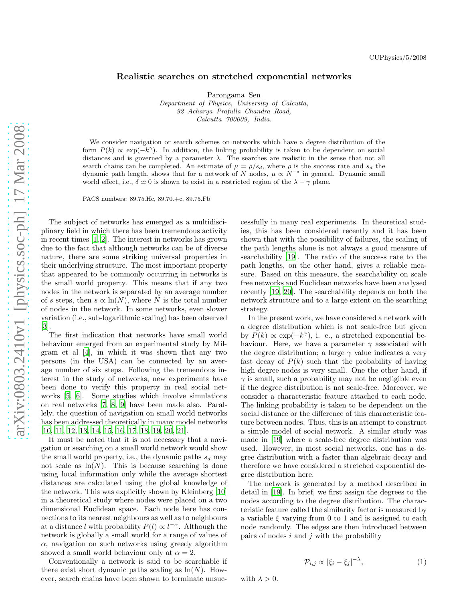## Realistic searches on stretched exponential networks

Parongama Sen Department of Physics, University of Calcutta, 92 Acharya Prafulla Chandra Road, Calcutta 700009, India.

We consider navigation or search schemes on networks which have a degree distribution of the form  $P(k) \propto \exp(-k^{\gamma})$ . In addition, the linking probability is taken to be dependent on social distances and is governed by a parameter  $\lambda$ . The searches are realistic in the sense that not all search chains can be completed. An estimate of  $\mu = \rho/s_d$ , where  $\rho$  is the success rate and  $s_d$  the dynamic path length, shows that for a network of N nodes,  $\mu \propto N^{-\delta}$  in general. Dynamic small world effect, i.e.,  $\delta \simeq 0$  is shown to exist in a restricted region of the  $\lambda - \gamma$  plane.

PACS numbers: 89.75.Hc, 89.70.+c, 89.75.Fb

The subject of networks has emerged as a multidisciplinary field in which there has been tremendous activity in recent times [\[1,](#page-2-0) [2](#page-2-1)]. The interest in networks has grown due to the fact that although networks can be of diverse nature, there are some striking universal properties in their underlying structure. The most important property that appeared to be commonly occurring in networks is the small world property. This means that if any two nodes in the network is separated by an average number of s steps, then  $s \propto \ln(N)$ , where N is the total number of nodes in the network. In some networks, even slower variation (i.e., sub-logarithmic scaling) has been observed [\[3\]](#page-2-2).

The first indication that networks have small world behaviour emerged from an experimental study by Milgram et al [\[4\]](#page-2-3), in which it was shown that any two persons (in the USA) can be connected by an average number of six steps. Following the tremendous interest in the study of networks, new experiments have been done to verify this property in real social networks [\[5,](#page-2-4) [6](#page-2-5)]. Some studies which involve simulations on real networks [\[7](#page-2-6), [8,](#page-2-7) [9\]](#page-2-8) have been made also. Parallely, the question of navigation on small world networks has been addressed theoretically in many model networks [\[10,](#page-2-9) [11,](#page-2-10) [12,](#page-2-11) [13,](#page-2-12) [14,](#page-2-13) [15,](#page-2-14) [16](#page-2-15), [17](#page-2-16), [18](#page-2-17), [19](#page-2-18), [20](#page-2-19), [21](#page-2-20)].

It must be noted that it is not necessary that a navigation or searching on a small world network would show the small world property, i.e., the dynamic paths  $s_d$  may not scale as  $\ln(N)$ . This is because searching is done using local information only while the average shortest distances are calculated using the global knowledge of the network. This was explicitly shown by Kleinberg [\[10](#page-2-9)] in a theoretical study where nodes were placed on a two dimensional Euclidean space. Each node here has connections to its nearest neighbours as well as to neighbours at a distance l with probability  $P(l) \propto l^{-\alpha}$ . Although the network is globally a small world for a range of values of  $\alpha$ , navigation on such networks using greedy algorithm showed a small world behaviour only at  $\alpha = 2$ .

Conventionally a network is said to be searchable if there exist short dynamic paths scaling as  $\ln(N)$ . However, search chains have been shown to terminate unsuccessfully in many real experiments. In theoretical studies, this has been considered recently and it has been shown that with the possibility of failures, the scaling of the path lengths alone is not always a good measure of searchability [\[19\]](#page-2-18). The ratio of the success rate to the path lengths, on the other hand, gives a reliable measure. Based on this measure, the searchability on scale free networks and Euclidean networks have been analysed recently [\[19,](#page-2-18) [20\]](#page-2-19). The searchability depends on both the network structure and to a large extent on the searching strategy.

In the present work, we have considered a network with a degree distribution which is not scale-free but given by  $P(k) \propto \exp(-k^{\gamma})$ , i. e., a stretched exponential behaviour. Here, we have a parameter  $\gamma$  associated with the degree distribution; a large  $\gamma$  value indicates a very fast decay of  $P(k)$  such that the probability of having high degree nodes is very small. One the other hand, if  $\gamma$  is small, such a probability may not be negligible even if the degree distribution is not scale-free. Moreover, we consider a characteristic feature attached to each node. The linking probability is taken to be dependent on the social distance or the difference of this characteristic feature between nodes. Thus, this is an attempt to construct a simple model of social network. A similar study was made in [\[19\]](#page-2-18) where a scale-free degree distribution was used. However, in most social networks, one has a degree distribution with a faster than algebraic decay and therefore we have considered a stretched exponential degree distribution here.

The network is generated by a method described in detail in [\[19](#page-2-18)]. In brief, we first assign the degrees to the nodes according to the degree distribution. The characteristic feature called the similarity factor is measured by a variable  $\xi$  varying from 0 to 1 and is assigned to each node randomly. The edges are then introduced between pairs of nodes  $i$  and  $j$  with the probability

<span id="page-0-0"></span>
$$
\mathcal{P}_{i,j} \propto |\xi_i - \xi_j|^{-\lambda},\tag{1}
$$

with  $\lambda > 0$ .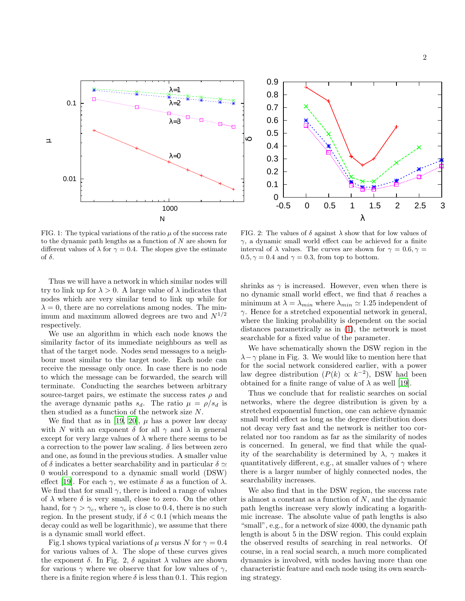



FIG. 1: The typical variations of the ratio  $\mu$  of the success rate to the dynamic path lengths as a function of  $N$  are shown for different values of  $\lambda$  for  $\gamma = 0.4$ . The slopes give the estimate of  $\delta$ .

Thus we will have a network in which similar nodes will try to link up for  $\lambda > 0$ . A large value of  $\lambda$  indicates that nodes which are very similar tend to link up while for  $\lambda = 0$ , there are no correlations among nodes. The minimum and maximum allowed degrees are two and  $N^{1/2}$ respectively.

We use an algorithm in which each node knows the similarity factor of its immediate neighbours as well as that of the target node. Nodes send messages to a neighbour most similar to the target node. Each node can receive the message only once. In case there is no node to which the message can be forwarded, the search will terminate. Conducting the searches between arbitrary source-target pairs, we estimate the success rates  $\rho$  and the average dynamic paths  $s_d$ . The ratio  $\mu = \rho/s_d$  is then studied as a function of the network size  $N$ .

We find that as in [\[19,](#page-2-18) [20](#page-2-19)],  $\mu$  has a power law decay with N with an exponent  $\delta$  for all  $\gamma$  and  $\lambda$  in general except for very large values of  $\lambda$  where there seems to be a correction to the power law scaling.  $\delta$  lies between zero and one, as found in the previous studies. A smaller value of  $\delta$  indicates a better searchability and in particular  $\delta \simeq$ 0 would correspond to a dynamic small world (DSW) effect [\[19](#page-2-18)]. For each  $\gamma$ , we estimate  $\delta$  as a function of  $\lambda$ . We find that for small  $\gamma$ , there is indeed a range of values of  $\lambda$  where  $\delta$  is very small, close to zero. On the other hand, for  $\gamma > \gamma_c$ , where  $\gamma_c$  is close to 0.4, there is no such region. In the present study, if  $\delta < 0.1$  (which means the decay could as well be logarithmic), we assume that there is a dynamic small world effect.

Fig.1 shows typical variations of  $\mu$  versus N for  $\gamma = 0.4$ for various values of  $\lambda$ . The slope of these curves gives the exponent  $\delta$ . In Fig. 2,  $\delta$  against  $\lambda$  values are shown for various  $\gamma$  where we observe that for low values of  $\gamma$ . there is a finite region where  $\delta$  is less than 0.1. This region

FIG. 2: The values of  $\delta$  against  $\lambda$  show that for low values of  $\gamma$ , a dynamic small world effect can be achieved for a finite interval of  $\lambda$  values. The curves are shown for  $\gamma = 0.6, \gamma =$  $0.5, \gamma = 0.4$  and  $\gamma = 0.3$ , from top to bottom.

shrinks as  $\gamma$  is increased. However, even when there is no dynamic small world effect, we find that  $\delta$  reaches a minimum at  $\lambda = \lambda_{min}$  where  $\lambda_{min} \simeq 1.25$  independent of  $\gamma$ . Hence for a stretched exponential network in general, where the linking probability is dependent on the social distances parametrically as in [\(1\)](#page-0-0), the network is most searchable for a fixed value of the parameter.

We have schematically shown the DSW region in the  $\lambda - \gamma$  plane in Fig. 3. We would like to mention here that for the social network considered earlier, with a power law degree distribution  $(P(k) \propto k^{-2})$ , DSW had been obtained for a finite range of value of  $\lambda$  as well [\[19\]](#page-2-18).

Thus we conclude that for realistic searches on social networks, where the degree distribution is given by a stretched exponential function, one can achieve dynamic small world effect as long as the degree distribution does not decay very fast and the network is neither too correlated nor too random as far as the similarity of nodes is concerned. In general, we find that while the quality of the searchability is determined by  $\lambda$ ,  $\gamma$  makes it quantitatively different, e.g., at smaller values of  $\gamma$  where there is a larger number of highly connected nodes, the searchability increases.

We also find that in the DSW region, the success rate is almost a constant as a function of  $N$ , and the dynamic path lengths increase very slowly indicating a logarithmic increase. The absolute value of path lengths is also "small", e.g., for a network of size 4000, the dynamic path length is about 5 in the DSW region. This could explain the observed results of searching in real networks. Of course, in a real social search, a much more complicated dynamics is involved, with nodes having more than one characteristic feature and each node using its own searching strategy.